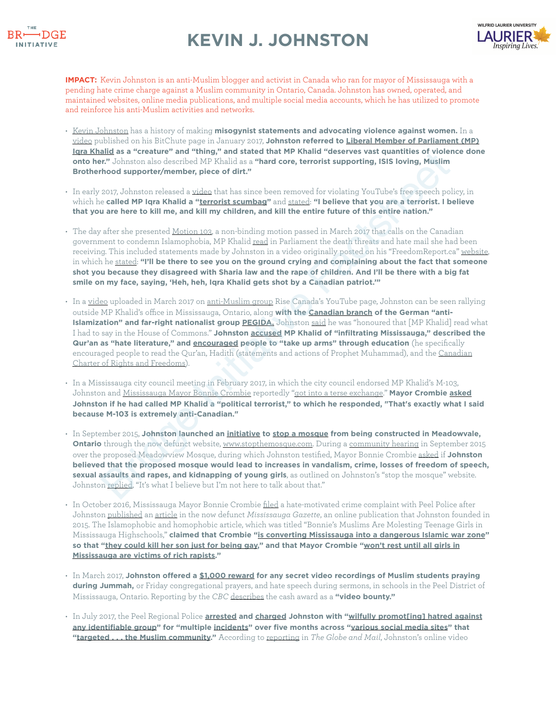

## **KEVIN J. JOHNSTON**



**IMPACT:** Kevin Johnston is an anti-Muslim blogger and activist in Canada who ran for mayor of Mississauga with a pending hate crime charge against a Muslim community in Ontario, Canada. Johnston has owned, operated, and maintained websites, online media publications, and multiple social media accounts, which he has utilized to promote and reinforce his anti-Muslim activities and networks.

- [Kevin Johnston](https://www.mississauga.com/community-story/8899205-meet-your-mayoral-candidate-for-mississauga-kevin-j-johnston/) has a history of making **misogynist statements and advocating violence against women.** In a [video](https://www.bitchute.com/video/RaV9r0b-Yaw/) published on his BitChute page in January 2017, **Johnston referred to [Liberal Member of Parliament \(MP\)](http://ikhalid.liberal.ca/)  [Iqra Khalid](http://ikhalid.liberal.ca/) as a "creature" and "thing," and stated that MP Khalid "deserves vast quantities of violence done onto her."** Johnston also described MP Khalid as a **"hard core, terrorist supporting, ISIS loving, Muslim Brotherhood supporter/member, piece of dirt."**
- In early 2017, Johnston released a video that has since been removed for violating YouTube's free speech policy, in which he **called MP Iqra Khalid a "terrorist scumbag"** and stated: **"I believe that you are a terrorist. I believe that you are here to kill me, and kill my children, and kill the entire future of this entire nation."**
- The day after she presented <u>Motion 103,</u> a non-binding motion passed in March 2017 that calls on the Canadian government to condemn Islamophobia, MP Khalid read in Parliament the death threats and hate mail she had been receiving. This included statements made by Johnston in a video originally posted on his "FreedomReport.ca" [website,](http://freedomreport.ca/) in which he stated: **"I'll be there to see you on the ground crying and complaining about the fact that someone shot you because they disagreed with Sharia law and the rape of children. And I'll be there with a big fat smile on my face, saying, 'Heh, heh, Iqra Khalid gets shot by a Canadian patriot.'"**
- In a [video](https://www.youtube.com/watch?v=L5B45H0M_qU) uploaded in March 2017 on anti-Muslim group Rise Canada's YouTube page, Johnston can be seen rallying outside MP Khalid's office in Mississauga, Ontario, along **with the Canadian branch of the German "anti-Islamization" and far-right nationalist group PEGIDA.** Johnston said he was "honoured that [MP Khalid] read what I had to say in the House of Commons." **Johnston accused MP Khalid of "infiltrating Mississauga," described the Qur'an as "hate literature," and encouraged people to "take up arms" through education** (he specifically encouraged people to read the Qur'an, Hadith (statements and actions of Prophet Muhammad), and the [Canadian](https://laws-lois.justice.gc.ca/eng/const/page-15.html)  [Charter of Rights and Freedoms](https://laws-lois.justice.gc.ca/eng/const/page-15.html)). and as a "retature" and ant[i](https://youtu.be/L5B45H0M_qU?t=176)cality and stat[e](https://pegidacanada.webs.com/)s unter present to provide the product of the product of the product of the product of the product of the product of the product of the product of the product of the state of the
- In a Mississauga city council meeting in February 2017, in which the city council endorsed MP Khalid's M-103, Johnston and Mississauga Mayor Bonnie Crombie reportedly "got into a terse exchange." **Mayor Crombie [asked](https://www.mississauga.com/news-story/7155514-mississauga-councillors-show-solidarity-with-mp-over-anti-islamophobia-motion/) Johnston if he had called MP Khalid a "political terrorist," to which he responded, "That's exactly what I said because M-103 is extremely anti-Canadian."**
- In September 2015, **Johnston launched an initiative to stop a mosque from being constructed in Meadowvale, Ontario** through the now defunct website, www.stopthemosque.com. During a community hearing in September 2015 over the proposed Meadowview Mosque, during which Johnston testified, Mayor Bonnie Crombie asked if **Johnston believed that the proposed mosque would lead to increases in vandalism, crime, losses of freedom of speech, sexual assaults and rapes, and kidnapping of young girls**, as outlined on Johnston's "stop the mosque" website. Johnston replied, "It's what I believe but I'm not here to talk about that."
- In October 2016, Mississauga Mayor Bonnie Crombie [filed](https://www.mississauga.com/news-story/6902696-mississauga-mayor-files-hate-crime-complaint-after-inflammatory-article/) a hate-motivated crime complaint with Peel Police after Johnston [published](https://www.youtube.com/watch?v=uAFHjXqvYk4) an [article](https://globalnews.ca/news/2993041/mississauga-publication-criticized-for-islamaphobic-baseless-claims/) in the now defunct *Mississauga Gazette*, an online publication that Johnston founded in 2015. The Islamophobic and homophobic article, which was titled "Bonnie's Muslims Are Molesting Teenage Girls in Mississauga Highschools," **claimed that Crombie "[is converting Mississauga into a dangerous Islamic war zone"](https://www.thestar.com/news/gta/2016/10/10/inflammatory-article-about-mississauga-finds-new-home-online.html) so that "[they could kill her son just for being gay,](https://www.thestar.com/news/gta/2016/10/09/mississauga-website-yanks-inflammatory-article-about-muslims-mayor.html)" and that Mayor Crombie "[won't rest until all girls in](https://globalnews.ca/news/2993041/mississauga-publication-criticized-for-islamaphobic-baseless-claims/)  [Mississauga are victims of rich rapists.](https://globalnews.ca/news/2993041/mississauga-publication-criticized-for-islamaphobic-baseless-claims/)"**
- In March 2017, **Johnston offered a [\\$1,000 reward](https://www.cbc.ca/news/canada/toronto/muslim-students-praying-video-peel-1.4048991) for any secret video recordings of Muslim students praying during Jummah,** or Friday congregational prayers, and hate speech during sermons, in schools in the Peel District of Mississauga, Ontario. Reporting by the *CBC* [describes](https://www.cbc.ca/news/canada/toronto/muslim-students-praying-video-peel-1.4048991) the cash award as a **"video bounty."**
- In July 2017, the Peel Regional Police **[arrested](https://www.cbc.ca/news/canada/toronto/kevin-johnston-hate-crime-1.4219185) and [charged](https://www.theglobeandmail.com/news/toronto/mississauga-man-faces-hate-crime-charge-after-probe-into-online-material-targeting-muslims/article35783763/) Johnston with "[wilfully promot\[ing\] hatred against](https://laws-lois.justice.gc.ca/eng/acts/C-46/section-319.html%23docCont)  [any identifiable group"](https://laws-lois.justice.gc.ca/eng/acts/C-46/section-319.html%23docCont) for "multipl[e incidents"](https://www.cbc.ca/news/canada/toronto/kevin-johnston-hate-crime-1.4219185) over five months across ["various social media sites](https://www.cbc.ca/news/canada/toronto/kevin-johnston-hate-crime-1.4219185)" that ["targeted . . . the Muslim community.](https://www.cbc.ca/news/canada/toronto/kevin-johnston-hate-crime-1.4219185)"** According to [reporting](https://www.theglobeandmail.com/news/toronto/mississauga-man-faces-hate-crime-charge-after-probe-into-online-material-targeting-muslims/article35783763/) in *The Globe and Mail*, Johnston's online video